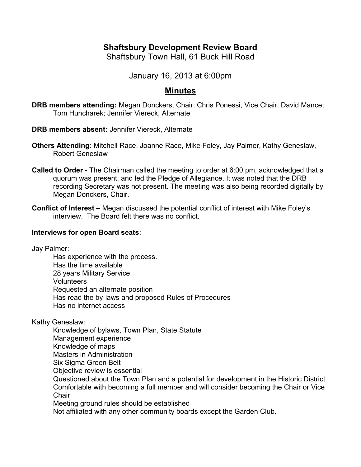# **Shaftsbury Development Review Board**

Shaftsbury Town Hall, 61 Buck Hill Road

January 16, 2013 at 6:00pm

## **Minutes**

**DRB members attending:** Megan Donckers, Chair; Chris Ponessi, Vice Chair, David Mance; Tom Huncharek; Jennifer Viereck, Alternate

**DRB members absent:** Jennifer Viereck, Alternate

- **Others Attending**: Mitchell Race, Joanne Race, Mike Foley, Jay Palmer, Kathy Geneslaw, Robert Geneslaw
- **Called to Order** The Chairman called the meeting to order at 6:00 pm, acknowledged that a quorum was present, and led the Pledge of Allegiance. It was noted that the DRB recording Secretary was not present. The meeting was also being recorded digitally by Megan Donckers, Chair.
- **Conflict of Interest** Megan discussed the potential conflict of interest with Mike Foley's interview. The Board felt there was no conflict.

### **Interviews for open Board seats**:

Jay Palmer:

Has experience with the process. Has the time available 28 years Military Service Volunteers Requested an alternate position Has read the by-laws and proposed Rules of Procedures Has no internet access

Kathy Geneslaw:

Knowledge of bylaws, Town Plan, State Statute Management experience Knowledge of maps Masters in Administration Six Sigma Green Belt Objective review is essential Questioned about the Town Plan and a potential for development in the Historic District Comfortable with becoming a full member and will consider becoming the Chair or Vice **Chair** Meeting ground rules should be established Not affiliated with any other community boards except the Garden Club.